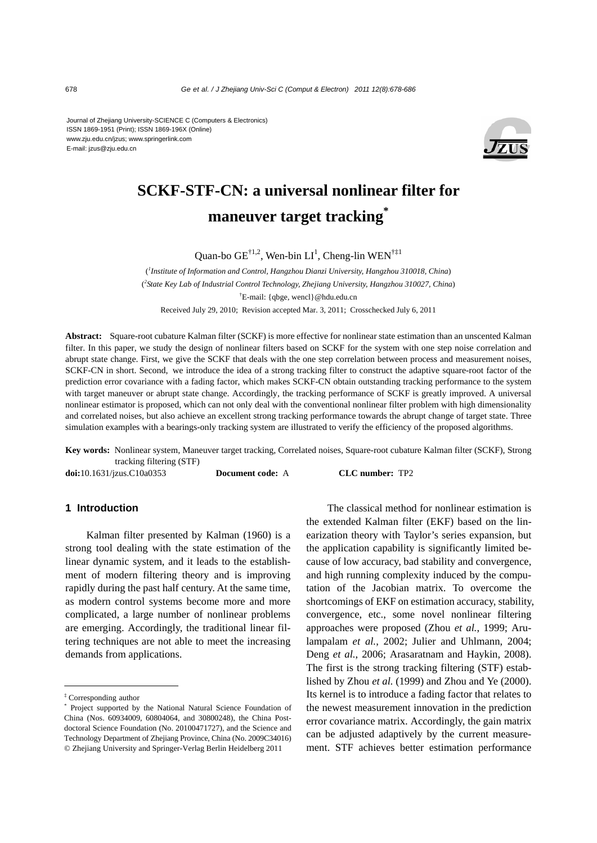Journal of Zhejiang University-SCIENCE C (Computers & Electronics) ISSN 1869-1951 (Print); ISSN 1869-196X (Online) www.zju.edu.cn/jzus; www.springerlink.com E-mail: jzus@zju.edu.cn



# **SCKF-STF-CN: a universal nonlinear filter for maneuver target tracking\***

Quan-bo GE<sup>†1,2</sup>, Wen-bin LI<sup>1</sup>, Cheng-lin WEN<sup>†‡1</sup>

( *1 Institute of Information and Control, Hangzhou Dianzi University, Hangzhou 310018, China*) ( *2 State Key Lab of Industrial Control Technology, Zhejiang University, Hangzhou 310027, China*) † E-mail: {qbge, wencl}@hdu.edu.cn Received July 29, 2010; Revision accepted Mar. 3, 2011; Crosschecked July 6, 2011

**Abstract:** Square-root cubature Kalman filter (SCKF) is more effective for nonlinear state estimation than an unscented Kalman filter. In this paper, we study the design of nonlinear filters based on SCKF for the system with one step noise correlation and abrupt state change. First, we give the SCKF that deals with the one step correlation between process and measurement noises, SCKF-CN in short. Second, we introduce the idea of a strong tracking filter to construct the adaptive square-root factor of the prediction error covariance with a fading factor, which makes SCKF-CN obtain outstanding tracking performance to the system with target maneuver or abrupt state change. Accordingly, the tracking performance of SCKF is greatly improved. A universal nonlinear estimator is proposed, which can not only deal with the conventional nonlinear filter problem with high dimensionality and correlated noises, but also achieve an excellent strong tracking performance towards the abrupt change of target state. Three simulation examples with a bearings-only tracking system are illustrated to verify the efficiency of the proposed algorithms.

**Key words:** Nonlinear system, Maneuver target tracking, Correlated noises, Square-root cubature Kalman filter (SCKF), Strong tracking filtering (STF)

**doi:**10.1631/jzus.C10a0353 **Document code:** A **CLC number:** TP2

## **1 Introduction**

Kalman filter presented by Kalman (1960) is a strong tool dealing with the state estimation of the linear dynamic system, and it leads to the establishment of modern filtering theory and is improving rapidly during the past half century. At the same time, as modern control systems become more and more complicated, a large number of nonlinear problems are emerging. Accordingly, the traditional linear filtering techniques are not able to meet the increasing demands from applications.

The classical method for nonlinear estimation is the extended Kalman filter (EKF) based on the linearization theory with Taylor's series expansion, but the application capability is significantly limited because of low accuracy, bad stability and convergence, and high running complexity induced by the computation of the Jacobian matrix. To overcome the shortcomings of EKF on estimation accuracy, stability, convergence, etc., some novel nonlinear filtering approaches were proposed (Zhou *et al.*, 1999; Arulampalam *et al.*, 2002; Julier and Uhlmann, 2004; Deng *et al.*, 2006; Arasaratnam and Haykin, 2008). The first is the strong tracking filtering (STF) established by Zhou *et al.* (1999) and Zhou and Ye (2000). Its kernel is to introduce a fading factor that relates to the newest measurement innovation in the prediction error covariance matrix. Accordingly, the gain matrix can be adjusted adaptively by the current measurement. STF achieves better estimation performance

<sup>&</sup>lt;sup>‡</sup> Corresponding author

Project supported by the National Natural Science Foundation of China (Nos. 60934009, 60804064, and 30800248), the China Postdoctoral Science Foundation (No. 20100471727), and the Science and Technology Department of Zhejiang Province, China (No. 2009C34016) © Zhejiang University and Springer-Verlag Berlin Heidelberg 2011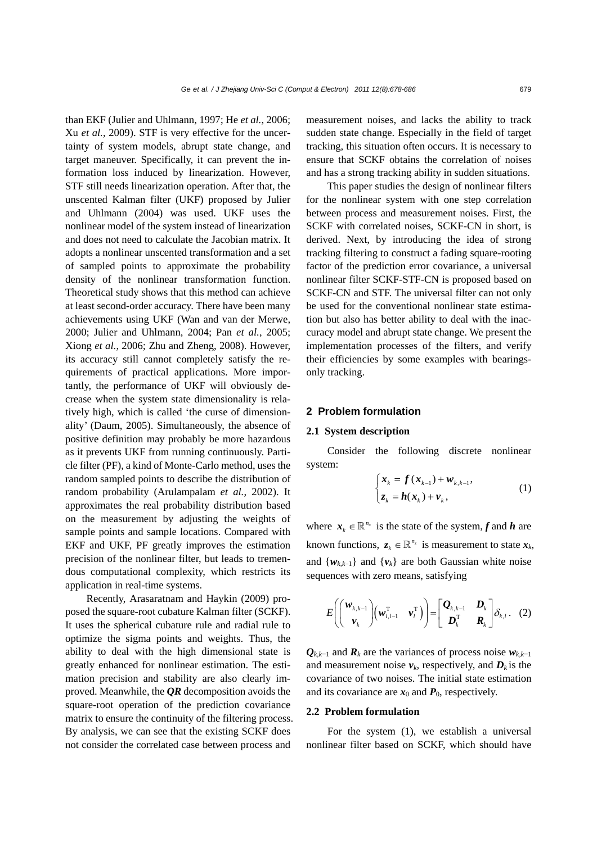than EKF (Julier and Uhlmann, 1997; He *et al.*, 2006; Xu *et al.*, 2009). STF is very effective for the uncertainty of system models, abrupt state change, and target maneuver. Specifically, it can prevent the information loss induced by linearization. However, STF still needs linearization operation. After that, the unscented Kalman filter (UKF) proposed by Julier and Uhlmann (2004) was used. UKF uses the nonlinear model of the system instead of linearization and does not need to calculate the Jacobian matrix. It adopts a nonlinear unscented transformation and a set of sampled points to approximate the probability density of the nonlinear transformation function. Theoretical study shows that this method can achieve at least second-order accuracy. There have been many achievements using UKF (Wan and van der Merwe, 2000; Julier and Uhlmann, 2004; Pan *et al.*, 2005; Xiong *et al.*, 2006; Zhu and Zheng, 2008). However, its accuracy still cannot completely satisfy the requirements of practical applications. More importantly, the performance of UKF will obviously decrease when the system state dimensionality is relatively high, which is called 'the curse of dimensionality' (Daum, 2005). Simultaneously, the absence of positive definition may probably be more hazardous as it prevents UKF from running continuously. Particle filter (PF), a kind of Monte-Carlo method, uses the random sampled points to describe the distribution of random probability (Arulampalam *et al.*, 2002). It approximates the real probability distribution based on the measurement by adjusting the weights of sample points and sample locations. Compared with EKF and UKF, PF greatly improves the estimation precision of the nonlinear filter, but leads to tremendous computational complexity, which restricts its application in real-time systems.

Recently, Arasaratnam and Haykin (2009) proposed the square-root cubature Kalman filter (SCKF). It uses the spherical cubature rule and radial rule to optimize the sigma points and weights. Thus, the ability to deal with the high dimensional state is greatly enhanced for nonlinear estimation. The estimation precision and stability are also clearly improved. Meanwhile, the *QR* decomposition avoids the square-root operation of the prediction covariance matrix to ensure the continuity of the filtering process. By analysis, we can see that the existing SCKF does not consider the correlated case between process and

measurement noises, and lacks the ability to track sudden state change. Especially in the field of target tracking, this situation often occurs. It is necessary to ensure that SCKF obtains the correlation of noises and has a strong tracking ability in sudden situations.

This paper studies the design of nonlinear filters for the nonlinear system with one step correlation between process and measurement noises. First, the SCKF with correlated noises, SCKF-CN in short, is derived. Next, by introducing the idea of strong tracking filtering to construct a fading square-rooting factor of the prediction error covariance, a universal nonlinear filter SCKF-STF-CN is proposed based on SCKF-CN and STF. The universal filter can not only be used for the conventional nonlinear state estimation but also has better ability to deal with the inaccuracy model and abrupt state change. We present the implementation processes of the filters, and verify their efficiencies by some examples with bearingsonly tracking.

## **2 Problem formulation**

## **2.1 System description**

Consider the following discrete nonlinear system:

$$
\begin{cases} \n\boldsymbol{x}_{k} = \boldsymbol{f}(\boldsymbol{x}_{k-1}) + \boldsymbol{w}_{k,k-1}, \\ \n\boldsymbol{z}_{k} = \boldsymbol{h}(\boldsymbol{x}_{k}) + \boldsymbol{v}_{k}, \n\end{cases} \tag{1}
$$

where  $x_k \in \mathbb{R}^{n_x}$  is the state of the system, *f* and *h* are known functions,  $z_k \in \mathbb{R}^{n_z}$  is measurement to state  $x_k$ , and  $\{w_{k,k-1}\}\$  and  $\{v_k\}$  are both Gaussian white noise sequences with zero means, satisfying

$$
E\left(\begin{pmatrix} \mathbf{w}_{k,k-1} \\ \mathbf{v}_k \end{pmatrix} (\mathbf{w}_{l,l-1}^{\mathrm{T}} \mathbf{v}_l^{\mathrm{T}})\right) = \begin{bmatrix} \mathbf{Q}_{k,k-1} & \mathbf{D}_k \\ \mathbf{D}_k^{\mathrm{T}} & \mathbf{R}_k \end{bmatrix} \delta_{k,l}. (2)
$$

*Q*<sub>*k*,*k*−1</sub> and  $\mathbf{R}_k$  are the variances of process noise  $\mathbf{w}_{k,k-1}$ and measurement noise  $v_k$ , respectively, and  $D_k$  is the covariance of two noises. The initial state estimation and its covariance are  $x_0$  and  $P_0$ , respectively.

#### **2.2 Problem formulation**

For the system (1), we establish a universal nonlinear filter based on SCKF, which should have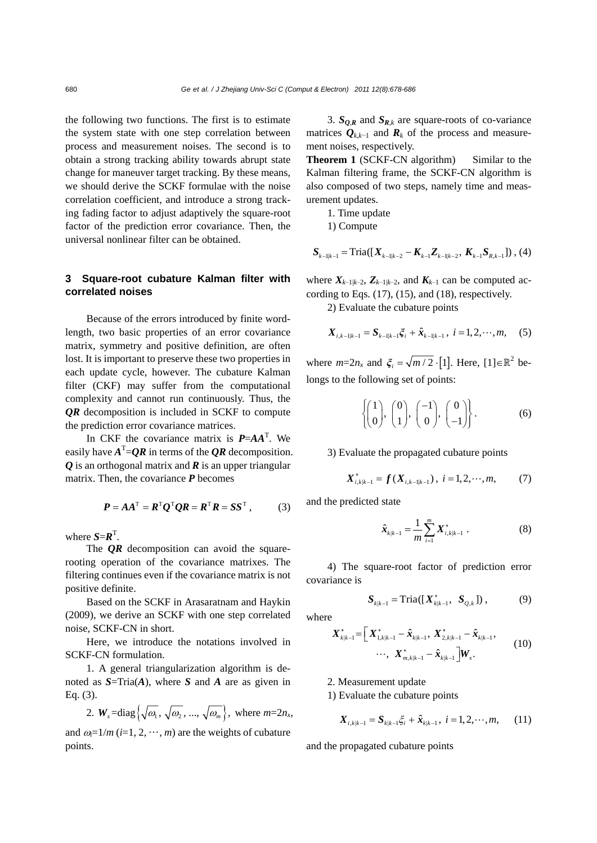the following two functions. The first is to estimate the system state with one step correlation between process and measurement noises. The second is to obtain a strong tracking ability towards abrupt state change for maneuver target tracking. By these means, we should derive the SCKF formulae with the noise correlation coefficient, and introduce a strong tracking fading factor to adjust adaptively the square-root factor of the prediction error covariance. Then, the universal nonlinear filter can be obtained.

# **3 Square-root cubature Kalman filter with correlated noises**

Because of the errors introduced by finite wordlength, two basic properties of an error covariance matrix, symmetry and positive definition, are often lost. It is important to preserve these two properties in each update cycle, however. The cubature Kalman filter (CKF) may suffer from the computational complexity and cannot run continuously. Thus, the *QR* decomposition is included in SCKF to compute the prediction error covariance matrices.

In CKF the covariance matrix is  $P = AA^T$ . We easily have  $A^{T} = QR$  in terms of the **QR** decomposition. *Q* is an orthogonal matrix and *R* is an upper triangular matrix. Then, the covariance *P* becomes

$$
\boldsymbol{P} = \boldsymbol{A}\boldsymbol{A}^{\mathrm{T}} = \boldsymbol{R}^{\mathrm{T}}\boldsymbol{Q}^{\mathrm{T}}\boldsymbol{Q}\boldsymbol{R} = \boldsymbol{R}^{\mathrm{T}}\boldsymbol{R} = \boldsymbol{S}\boldsymbol{S}^{\mathrm{T}},
$$
 (3)

where  $S = R^T$ .

The **QR** decomposition can avoid the squarerooting operation of the covariance matrixes. The filtering continues even if the covariance matrix is not positive definite.

Based on the SCKF in Arasaratnam and Haykin (2009), we derive an SCKF with one step correlated noise, SCKF-CN in short.

Here, we introduce the notations involved in SCKF-CN formulation.

1. A general triangularization algorithm is denoted as *S*=Tria(*A*), where *S* and *A* are as given in Eq. (3).

2. 
$$
W_s = \text{diag}\left\{\sqrt{\omega_1}, \sqrt{\omega_2}, ..., \sqrt{\omega_m}\right\}
$$
, where  $m=2n_x$ ,

and  $\omega_i = 1/m$  ( $i=1, 2, \dots, m$ ) are the weights of cubature points.

3.  $S_{Q,R}$  and  $S_{R,k}$  are square-roots of co-variance matrices  $Q_{k,k-1}$  and  $R_k$  of the process and measurement noises, respectively.

**Theorem 1** (SCKF-CN algorithm)Similar to the Kalman filtering frame, the SCKF-CN algorithm is also composed of two steps, namely time and measurement updates.

1. Time update

1) Compute

$$
S_{k-1|k-1} = \text{Tria}([X_{k-1|k-2} - K_{k-1}Z_{k-1|k-2}, K_{k-1}S_{R,k-1}]), (4)
$$

where  $X_{k-1|k-2}$ ,  $Z_{k-1|k-2}$ , and  $K_{k-1}$  can be computed according to Eqs.  $(17)$ ,  $(15)$ , and  $(18)$ , respectively.

2) Evaluate the cubature points

$$
\boldsymbol{X}_{i,k-1|k-1} = \boldsymbol{S}_{k-1|k-1} \boldsymbol{\xi}_i + \boldsymbol{\hat{x}}_{k-1|k-1}, \ \ i = 1, 2, \cdots, m, \tag{5}
$$

where  $m=2n_x$  and  $\zeta_i = \sqrt{m/2} \cdot [1]$ . Here,  $[1] \in \mathbb{R}^2$  belongs to the following set of points:

$$
\left\{ \begin{pmatrix} 1 \\ 0 \end{pmatrix}, \begin{pmatrix} 0 \\ 1 \end{pmatrix}, \begin{pmatrix} -1 \\ 0 \end{pmatrix}, \begin{pmatrix} 0 \\ -1 \end{pmatrix} \right\}.
$$
 (6)

3) Evaluate the propagated cubature points

$$
X_{i,k|k-1}^* = f(X_{i,k-1|k-1}), i = 1,2,\cdots,m,
$$
 (7)

and the predicted state

$$
\hat{\bm{x}}_{k|k-1} = \frac{1}{m} \sum_{i=1}^{m} \bm{X}_{i,k|k-1}^* \tag{8}
$$

4) The square-root factor of prediction error covariance is

$$
S_{k|k-1} = \text{Tria}([X_{k|k-1}^*, S_{Q,k}]), \qquad (9)
$$

where

$$
\boldsymbol{X}_{k|k-1}^{*} = \left[ \boldsymbol{X}_{1,k|k-1}^{*} - \hat{\boldsymbol{x}}_{k|k-1}, \boldsymbol{X}_{2,k|k-1}^{*} - \hat{\boldsymbol{x}}_{k|k-1}, \cdots, \boldsymbol{X}_{m,k|k-1}^{*} - \hat{\boldsymbol{x}}_{k|k-1} \right] \boldsymbol{W}_{s}.
$$
\n(10)

2. Measurement update

1) Evaluate the cubature points

$$
\mathbf{X}_{i,k|k-1} = \mathbf{S}_{k|k-1} \xi_i + \hat{\mathbf{x}}_{k|k-1}, \ i = 1, 2, \cdots, m, \qquad (11)
$$

and the propagated cubature points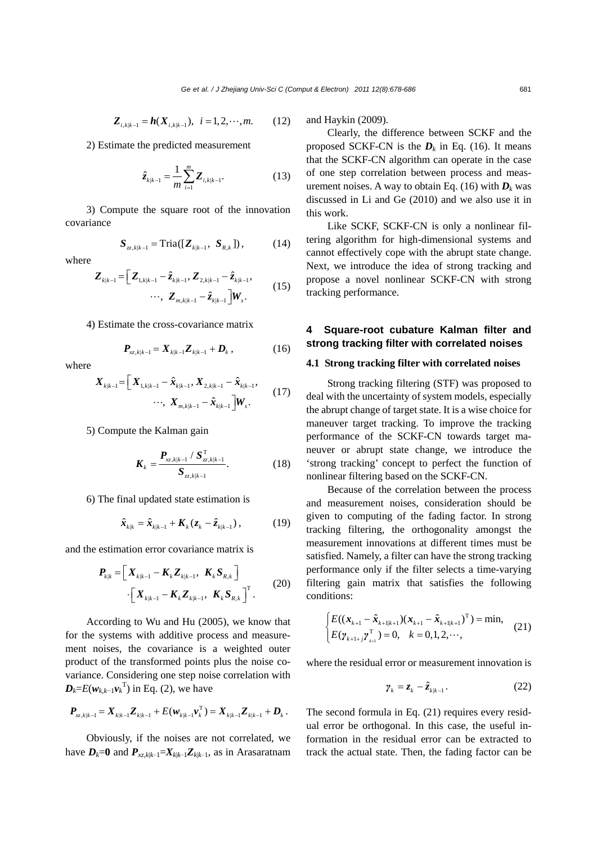$$
\mathbf{Z}_{i,k|k-1} = \mathbf{h}(\mathbf{X}_{i,k|k-1}), \ \ i = 1, 2, \cdots, m. \tag{12}
$$

2) Estimate the predicted measurement

$$
\hat{z}_{k|k-1} = \frac{1}{m} \sum_{i=1}^{m} \mathbf{Z}_{i,k|k-1}.
$$
 (13)

3) Compute the square root of the innovation covariance

$$
S_{zz,k|k-1} = \text{Tria}([\mathbf{Z}_{k|k-1}, S_{R,k}]), \quad (14)
$$

where

$$
\mathbf{Z}_{k|k-1} = \left[ \mathbf{Z}_{1,k|k-1} - \hat{z}_{k|k-1}, \mathbf{Z}_{2,k|k-1} - \hat{z}_{k|k-1}, \cdots, \mathbf{Z}_{m,k|k-1} - \hat{z}_{k|k-1} \right] \mathbf{W}_s.
$$
 (15)

4) Estimate the cross-covariance matrix

$$
\boldsymbol{P}_{xz,k|k-1} = \boldsymbol{X}_{k|k-1} \boldsymbol{Z}_{k|k-1} + \boldsymbol{D}_k ,
$$
 (16)

where

$$
\boldsymbol{X}_{k|k-1} = \left[ \boldsymbol{X}_{1,k|k-1} - \hat{\boldsymbol{x}}_{k|k-1}, \boldsymbol{X}_{2,k|k-1} - \hat{\boldsymbol{x}}_{k|k-1}, \cdots, \boldsymbol{X}_{m,k|k-1} - \hat{\boldsymbol{x}}_{k|k-1} \right] \hspace{10mm} (17)
$$

5) Compute the Kalman gain

$$
K_{k} = \frac{P_{xz,k|k-1} / S_{zz,k|k-1}^{T}}{S_{zz,k|k-1}}.
$$
 (18)

6) The final updated state estimation is

$$
\hat{\bm{x}}_{k|k} = \hat{\bm{x}}_{k|k-1} + \bm{K}_k (z_k - \hat{z}_{k|k-1}), \quad (19)
$$

and the estimation error covariance matrix is

$$
\boldsymbol{P}_{k|k} = \left[ \boldsymbol{X}_{k|k-1} - \boldsymbol{K}_{k} \boldsymbol{Z}_{k|k-1}, \ \boldsymbol{K}_{k} \boldsymbol{S}_{R,k} \right] \cdot \left[ \boldsymbol{X}_{k|k-1} - \boldsymbol{K}_{k} \boldsymbol{Z}_{k|k-1}, \ \boldsymbol{K}_{k} \boldsymbol{S}_{R,k} \right]^{T} . \tag{20}
$$

According to Wu and Hu (2005), we know that for the systems with additive process and measurement noises, the covariance is a weighted outer product of the transformed points plus the noise covariance. Considering one step noise correlation with  $D_k = E(w_{k,k-1}v_k^{\mathrm{T}})$  in Eq. (2), we have

$$
\bm{P}_{\text{x},k|k-1} = \bm{X}_{k|k-1} \bm{Z}_{k|k-1} + E(\bm{w}_{k|k-1} \bm{v}_k^{\mathrm{T}}) = \bm{X}_{k|k-1} \bm{Z}_{k|k-1} + \bm{D}_k.
$$

Obviously, if the noises are not correlated, we have  $D_k=0$  and  $P_{xz,k|k-1}=X_{k|k-1}Z_{k|k-1}$ , as in Arasaratnam

and Haykin (2009).

Clearly, the difference between SCKF and the proposed SCKF-CN is the  $D_k$  in Eq. (16). It means that the SCKF-CN algorithm can operate in the case of one step correlation between process and measurement noises. A way to obtain Eq. (16) with  $D_k$  was discussed in Li and Ge (2010) and we also use it in this work.

Like SCKF, SCKF-CN is only a nonlinear filtering algorithm for high-dimensional systems and cannot effectively cope with the abrupt state change. Next, we introduce the idea of strong tracking and propose a novel nonlinear SCKF-CN with strong tracking performance.

## **4 Square-root cubature Kalman filter and strong tracking filter with correlated noises**

#### **4.1 Strong tracking filter with correlated noises**

Strong tracking filtering (STF) was proposed to deal with the uncertainty of system models, especially the abrupt change of target state. It is a wise choice for maneuver target tracking. To improve the tracking performance of the SCKF-CN towards target maneuver or abrupt state change, we introduce the 'strong tracking' concept to perfect the function of nonlinear filtering based on the SCKF-CN.

Because of the correlation between the process and measurement noises, consideration should be given to computing of the fading factor. In strong tracking filtering, the orthogonality amongst the measurement innovations at different times must be satisfied. Namely, a filter can have the strong tracking performance only if the filter selects a time-varying filtering gain matrix that satisfies the following conditions:

$$
\begin{cases} E((x_{k+1} - \hat{x}_{k+1|k+1})(x_{k+1} - \hat{x}_{k+1|k+1})^{\mathrm{T}}) = \min, \\ E(y_{k+1+j}y_{k+1}^{\mathrm{T}}) = 0, \quad k = 0, 1, 2, \cdots, \end{cases}
$$
(21)

where the residual error or measurement innovation is

$$
\gamma_k = z_k - \hat{z}_{k|k-1}.
$$
 (22)

The second formula in Eq. (21) requires every residual error be orthogonal. In this case, the useful information in the residual error can be extracted to track the actual state. Then, the fading factor can be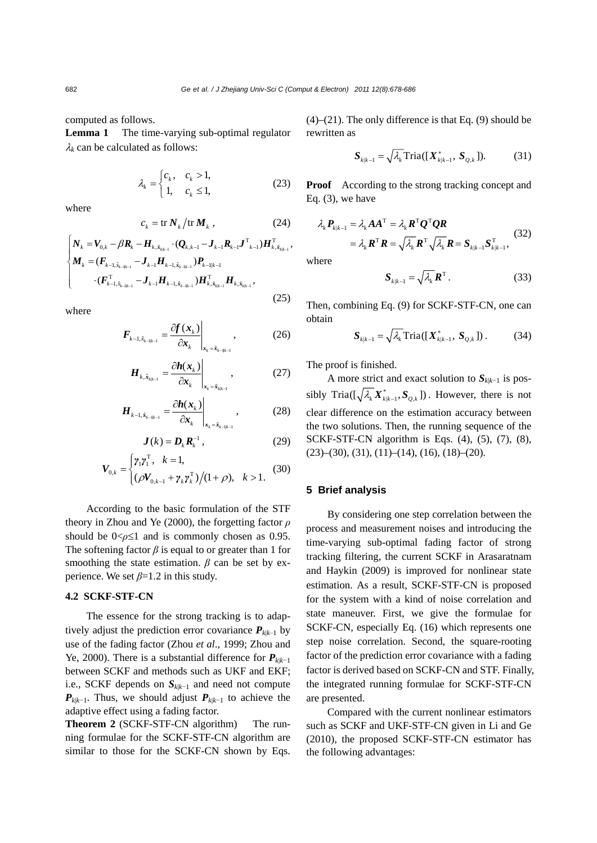computed as follows.

**Lemma 1** The time-varying sub-optimal regulator  $\lambda_k$  can be calculated as follows:

$$
\lambda_k = \begin{cases} c_k, & c_k > 1, \\ 1, & c_k \le 1, \end{cases} \tag{23}
$$

where

$$
c_k = \text{tr}\, \mathbf{N}_k / \text{tr}\, \mathbf{M}_k \,, \tag{24}
$$

$$
\begin{cases}\nN_{k} = V_{0,k} - \beta R_{k} - H_{k,\hat{x}_{k|k-1}} \cdot (Q_{k,k-1} - J_{k-1}R_{k-1}J^{T}_{k-1})H_{k,\hat{x}_{k|k-1}}^{T}, \\
M_{k} = (F_{k-1,\hat{x}_{k-1|k-1}} - J_{k-1}H_{k-1,\hat{x}_{k-1|k-1}})P_{k-1|k-1} \\
\cdot (F_{k-1,\hat{x}_{k-1|k-1}}^{T} - J_{k-1}H_{k-1,\hat{x}_{k-1|k-1}})H_{k,\hat{x}_{k|k-1}}^{T}H_{k,\hat{x}_{k|k-1}},\n\end{cases} (25)
$$

where

$$
F_{k-1,\hat{x}_{k-1,k-1}} = \frac{\partial f(x_k)}{\partial x_k}\Big|_{x_k = \hat{x}_{k-1,k-1}}, \qquad (26)
$$

$$
\boldsymbol{H}_{k,\hat{\boldsymbol{x}}_{k|k-1}} = \frac{\partial \boldsymbol{h}(\boldsymbol{x}_k)}{\partial \boldsymbol{x}_k}\bigg|_{\boldsymbol{x}_k = \hat{\boldsymbol{x}}_{k|k-1}},
$$
 (27)

$$
\boldsymbol{H}_{k-1,\hat{\mathbf{x}}_{k-1|k-1}} = \frac{\partial \boldsymbol{h}(\boldsymbol{x}_k)}{\partial \boldsymbol{x}_k}\bigg|_{\boldsymbol{x}_k = \hat{\mathbf{x}}_{k-1|k-1}}, \qquad (28)
$$

$$
\mathbf{J}(k) = \mathbf{D}_k \mathbf{R}_k^{-1} \,, \tag{29}
$$

$$
\boldsymbol{V}_{0,k} = \begin{cases} \gamma_1 \gamma_1^{\mathrm{T}}, & k = 1, \\ (\rho \boldsymbol{V}_{0,k-1} + \gamma_k \gamma_k^{\mathrm{T}}) / (1 + \rho), & k > 1. \end{cases}
$$
 (30)

According to the basic formulation of the STF theory in Zhou and Ye (2000), the forgetting factor *ρ* should be  $0 < \rho \le 1$  and is commonly chosen as 0.95. The softening factor  $\beta$  is equal to or greater than 1 for smoothing the state estimation.  $\beta$  can be set by experience. We set  $\beta$ =1.2 in this study.

# **4.2 SCKF-STF-CN**

The essence for the strong tracking is to adaptively adjust the prediction error covariance  $P_{k|k-1}$  by use of the fading factor (Zhou *et al*., 1999; Zhou and Ye, 2000). There is a substantial difference for  $P_{k|k-1}$ between SCKF and methods such as UKF and EKF; i.e., SCKF depends on  $S_{kk-1}$  and need not compute  $P_{k|k-1}$ . Thus, we should adjust  $P_{k|k-1}$  to achieve the adaptive effect using a fading factor.

**Theorem 2** (SCKF-STF-CN algorithm) The running formulae for the SCKF-STF-CN algorithm are similar to those for the SCKF-CN shown by Eqs.

 $(4)$ – $(21)$ . The only difference is that Eq.  $(9)$  should be rewritten as

$$
S_{k|k-1} = \sqrt{\lambda_k} \text{Tria}([X_{k|k-1}^*, S_{Q,k}]). \tag{31}
$$

**Proof** According to the strong tracking concept and Eq.  $(3)$ , we have

$$
\lambda_{k} P_{k|k-1} = \lambda_{k} A A^{T} = \lambda_{k} \mathbf{R}^{T} \mathbf{Q}^{T} \mathbf{Q} \mathbf{R}
$$
  
=  $\lambda_{k} \mathbf{R}^{T} \mathbf{R} = \sqrt{\lambda_{k}} \mathbf{R}^{T} \sqrt{\lambda_{k}} \mathbf{R} = \mathbf{S}_{k|k-1} \mathbf{S}_{k|k-1}^{T},$  (32)

where

$$
\mathbf{S}_{k|k-1} = \sqrt{\lambda_k} \mathbf{R}^{\mathrm{T}} \,. \tag{33}
$$

Then, combining Eq. (9) for SCKF-STF-CN, one can obtain

$$
S_{k|k-1} = \sqrt{\lambda_k} \text{Tria}([X_{k|k-1}^*, S_{Q,k}]). \tag{34}
$$

The proof is finished.

A more strict and exact solution to  $S_{k|k-1}$  is possibly  $\text{Tri}_0([\sqrt{\lambda_k} \, X_{k|k-1}^*, \mathcal{S}_{O,k}])$ . However, there is not clear difference on the estimation accuracy between the two solutions. Then, the running sequence of the SCKF-STF-CN algorithm is Eqs.  $(4)$ ,  $(5)$ ,  $(7)$ ,  $(8)$ ,  $(23)$ – $(30)$ ,  $(31)$ ,  $(11)$ – $(14)$ ,  $(16)$ ,  $(18)$ – $(20)$ .

## **5 Brief analysis**

By considering one step correlation between the process and measurement noises and introducing the time-varying sub-optimal fading factor of strong tracking filtering, the current SCKF in Arasaratnam and Haykin (2009) is improved for nonlinear state estimation. As a result, SCKF-STF-CN is proposed for the system with a kind of noise correlation and state maneuver. First, we give the formulae for SCKF-CN, especially Eq. (16) which represents one step noise correlation. Second, the square-rooting factor of the prediction error covariance with a fading factor is derived based on SCKF-CN and STF. Finally, the integrated running formulae for SCKF-STF-CN are presented.

Compared with the current nonlinear estimators such as SCKF and UKF-STF-CN given in Li and Ge (2010), the proposed SCKF-STF-CN estimator has the following advantages: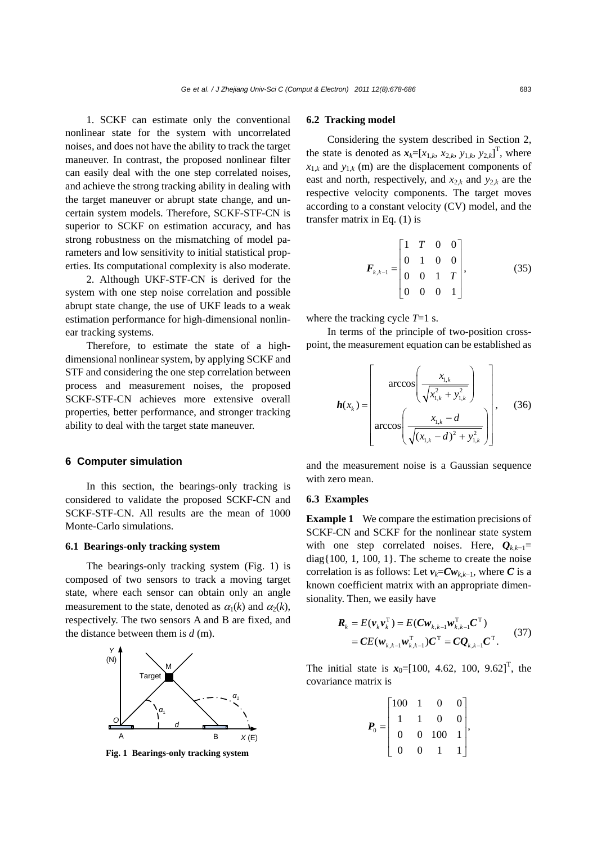1. SCKF can estimate only the conventional nonlinear state for the system with uncorrelated noises, and does not have the ability to track the target maneuver. In contrast, the proposed nonlinear filter can easily deal with the one step correlated noises, and achieve the strong tracking ability in dealing with the target maneuver or abrupt state change, and uncertain system models. Therefore, SCKF-STF-CN is superior to SCKF on estimation accuracy, and has strong robustness on the mismatching of model parameters and low sensitivity to initial statistical properties. Its computational complexity is also moderate.

2. Although UKF-STF-CN is derived for the system with one step noise correlation and possible abrupt state change, the use of UKF leads to a weak estimation performance for high-dimensional nonlinear tracking systems.

Therefore, to estimate the state of a highdimensional nonlinear system, by applying SCKF and STF and considering the one step correlation between process and measurement noises, the proposed SCKF-STF-CN achieves more extensive overall properties, better performance, and stronger tracking ability to deal with the target state maneuver.

## **6 Computer simulation**

In this section, the bearings-only tracking is considered to validate the proposed SCKF-CN and SCKF-STF-CN. All results are the mean of 1000 Monte-Carlo simulations.

## **6.1 Bearings-only tracking system**

The bearings-only tracking system (Fig. 1) is composed of two sensors to track a moving target state, where each sensor can obtain only an angle measurement to the state, denoted as  $\alpha_1(k)$  and  $\alpha_2(k)$ , respectively. The two sensors A and B are fixed, and the distance between them is *d* (m).



**Fig. 1 Bearings-only tracking system** 

## **6.2 Tracking model**

Considering the system described in Section 2, the state is denoted as  $\mathbf{x}_k = [x_{1,k}, x_{2,k}, y_{1,k}, y_{2,k}]^\text{T}$ , where  $x_{1,k}$  and  $y_{1,k}$  (m) are the displacement components of east and north, respectively, and  $x_{2,k}$  and  $y_{2,k}$  are the respective velocity components. The target moves according to a constant velocity (CV) model, and the transfer matrix in Eq. (1) is

$$
\boldsymbol{F}_{k,k-1} = \begin{bmatrix} 1 & T & 0 & 0 \\ 0 & 1 & 0 & 0 \\ 0 & 0 & 1 & T \\ 0 & 0 & 0 & 1 \end{bmatrix},\tag{35}
$$

where the tracking cycle *T*=1 s.

In terms of the principle of two-position crosspoint, the measurement equation can be established as

$$
\boldsymbol{h}(x_k) = \begin{bmatrix} \arccos\left(\frac{x_{1,k}}{\sqrt{x_{1,k}^2 + y_{1,k}^2}}\right) \\ \arccos\left(\frac{x_{1,k} - d}{\sqrt{(x_{1,k} - d)^2 + y_{1,k}^2}}\right) \end{bmatrix}, \quad (36)
$$

and the measurement noise is a Gaussian sequence with zero mean.

## **6.3 Examples**

**Example 1** We compare the estimation precisions of SCKF-CN and SCKF for the nonlinear state system with one step correlated noises. Here,  $Q_{k,k-1}$ = diag $\{100, 1, 100, 1\}$ . The scheme to create the noise correlation is as follows: Let  $v_k = Cw_{k,k-1}$ , where *C* is a known coefficient matrix with an appropriate dimensionality. Then, we easily have

$$
\mathbf{R}_{k} = E(\mathbf{v}_{k} \mathbf{v}_{k}^{\mathrm{T}}) = E(C \mathbf{w}_{k,k-1} \mathbf{w}_{k,k-1}^{\mathrm{T}} C^{\mathrm{T}})
$$
  
=  $CE(\mathbf{w}_{k,k-1} \mathbf{w}_{k,k-1}^{\mathrm{T}}) C^{\mathrm{T}} = C Q_{k,k-1} C^{\mathrm{T}}.$  (37)

The initial state is  $x_0 = [100, 4.62, 100, 9.62]^T$ , the covariance matrix is

$$
\boldsymbol{P}_0 = \begin{bmatrix} 100 & 1 & 0 & 0 \\ 1 & 1 & 0 & 0 \\ 0 & 0 & 100 & 1 \\ 0 & 0 & 1 & 1 \end{bmatrix},
$$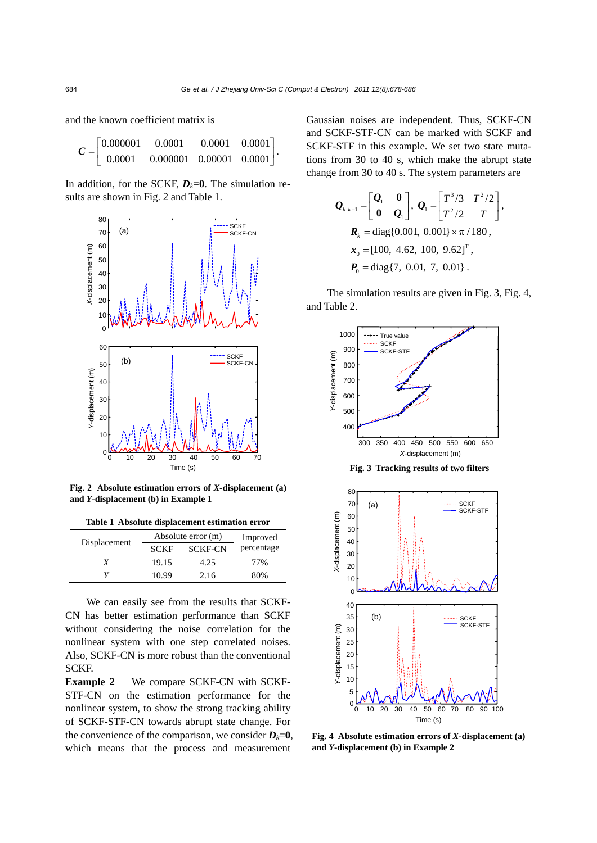and the known coefficient matrix is

$$
C = \begin{bmatrix} 0.000001 & 0.0001 & 0.0001 & 0.0001 \\ 0.0001 & 0.000001 & 0.00001 & 0.0001 \end{bmatrix}.
$$

In addition, for the SCKF,  $D_k=0$ . The simulation results are shown in Fig. 2 and Table 1.



**Fig. 2 Absolute estimation errors of** *X***-displacement (a) and** *Y***-displacement (b) in Example 1** 

| Table 1 Absolute displacement estimation error |  |  |  |
|------------------------------------------------|--|--|--|
|------------------------------------------------|--|--|--|

| Displacement | Absolute error (m) |                | Improved   |
|--------------|--------------------|----------------|------------|
|              | <b>SCKF</b>        | <b>SCKE-CN</b> | percentage |
| X            | 19.15              | 4.25           | 77%        |
|              | 10.99              | 2.16           | 80%        |

We can easily see from the results that SCKF-CN has better estimation performance than SCKF without considering the noise correlation for the nonlinear system with one step correlated noises. Also, SCKF-CN is more robust than the conventional SCKF.

**Example 2** We compare SCKF-CN with SCKF-STF-CN on the estimation performance for the nonlinear system, to show the strong tracking ability of SCKF-STF-CN towards abrupt state change. For the convenience of the comparison, we consider  $D_k=0$ , which means that the process and measurement

Gaussian noises are independent. Thus, SCKF-CN and SCKF-STF-CN can be marked with SCKF and SCKF-STF in this example. We set two state mutations from 30 to 40 s, which make the abrupt state change from 30 to 40 s. The system parameters are

$$
\mathbf{Q}_{k,k-1} = \begin{bmatrix} \mathbf{Q}_1 & \mathbf{0} \\ \mathbf{0} & \mathbf{Q}_1 \end{bmatrix}, \ \mathbf{Q}_1 = \begin{bmatrix} T^3/3 & T^2/2 \\ T^2/2 & T \end{bmatrix},
$$

$$
\mathbf{R}_k = \text{diag}\{0.001, \ 0.001\} \times \pi/180,
$$

$$
\mathbf{x}_0 = [100, \ 4.62, \ 100, \ 9.62]^T,
$$

$$
\mathbf{P}_0 = \text{diag}\{7, \ 0.01, \ 7, \ 0.01\}.
$$

The simulation results are given in Fig. 3, Fig. 4, and Table 2.





**Fig. 4 Absolute estimation errors of** *X***-displacement (a) and** *Y***-displacement (b) in Example 2**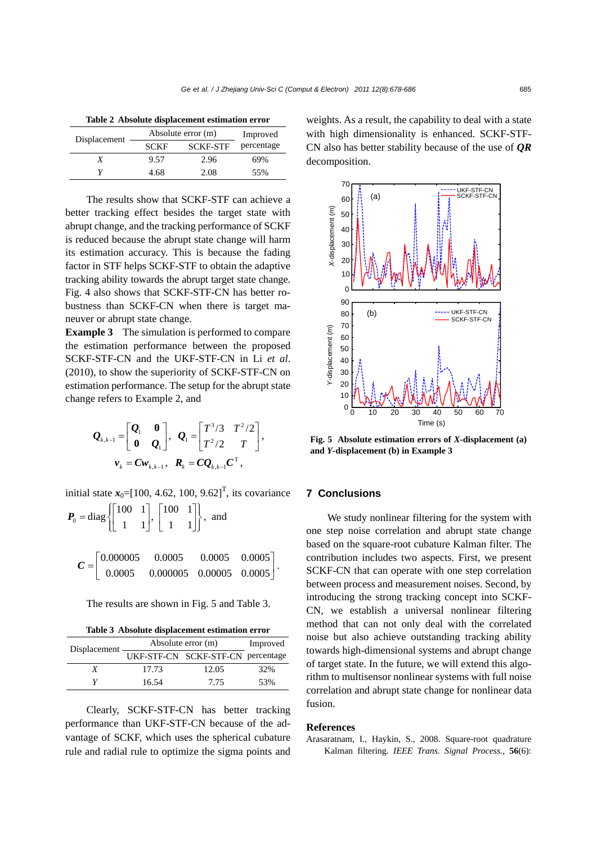| rapic 2 reported displacement estimation error |                    |                 |            |  |
|------------------------------------------------|--------------------|-----------------|------------|--|
| Displacement                                   | Absolute error (m) |                 | Improved   |  |
|                                                | <b>SCKF</b>        | <b>SCKF-STF</b> | percentage |  |
|                                                | 9.57               | 2.96            | 69%        |  |
|                                                | 4.68               | 2.08            | 55%        |  |

**Table 2 Absolute displacement estimation error** 

The results show that SCKF-STF can achieve a better tracking effect besides the target state with abrupt change, and the tracking performance of SCKF is reduced because the abrupt state change will harm its estimation accuracy. This is because the fading factor in STF helps SCKF-STF to obtain the adaptive tracking ability towards the abrupt target state change. Fig. 4 also shows that SCKF-STF-CN has better robustness than SCKF-CN when there is target maneuver or abrupt state change.

**Example 3** The simulation is performed to compare the estimation performance between the proposed SCKF-STF-CN and the UKF-STF-CN in Li *et al*. (2010), to show the superiority of SCKF-STF-CN on estimation performance. The setup for the abrupt state change refers to Example 2, and

$$
Q_{k,k-1} = \begin{bmatrix} Q_1 & \mathbf{0} \\ \mathbf{0} & Q_1 \end{bmatrix}, \quad Q_1 = \begin{bmatrix} T^3/3 & T^2/2 \\ T^2/2 & T \end{bmatrix},
$$
\n
$$
v_k = C w_{k,k-1}, \quad R_k = C Q_{k,k-1} C^T,
$$

initial state  $x_0 = [100, 4.62, 100, 9.62]^T$ , its covariance

$$
\boldsymbol{P}_0 = \text{diag}\left\{ \begin{bmatrix} 100 & 1 \\ 1 & 1 \end{bmatrix}, \begin{bmatrix} 100 & 1 \\ 1 & 1 \end{bmatrix} \right\}, \text{ and}
$$

$$
C = \begin{bmatrix} 0.000005 & 0.0005 & 0.0005 & 0.0005 \\ 0.0005 & 0.000005 & 0.00005 & 0.0005 \end{bmatrix}.
$$

The results are shown in Fig. 5 and Table 3.

**Table 3 Absolute displacement estimation error** 

| Displacement | Absolute error (m) |                                   | Improved |
|--------------|--------------------|-----------------------------------|----------|
|              |                    | UKF-STF-CN SCKF-STF-CN percentage |          |
|              | 17.73              | 12.05                             | 32%      |
|              | 16.54              | 7.75                              | 53%      |
|              |                    |                                   |          |

Clearly, SCKF-STF-CN has better tracking performance than UKF-STF-CN because of the advantage of SCKF, which uses the spherical cubature rule and radial rule to optimize the sigma points and weights. As a result, the capability to deal with a state with high dimensionality is enhanced. SCKF-STF-CN also has better stability because of the use of *QR*  decomposition.



**Fig. 5 Absolute estimation errors of** *X***-displacement (a) and** *Y***-displacement (b) in Example 3** 

#### **7 Conclusions**

We study nonlinear filtering for the system with one step noise correlation and abrupt state change based on the square-root cubature Kalman filter. The contribution includes two aspects. First, we present SCKF-CN that can operate with one step correlation between process and measurement noises. Second, by introducing the strong tracking concept into SCKF-CN, we establish a universal nonlinear filtering method that can not only deal with the correlated noise but also achieve outstanding tracking ability towards high-dimensional systems and abrupt change of target state. In the future, we will extend this algorithm to multisensor nonlinear systems with full noise correlation and abrupt state change for nonlinear data fusion.

#### **References**

Arasaratnam, I., Haykin, S., 2008. Square-root quadrature Kalman filtering. *IEEE Trans. Signal Process.*, **56**(6):